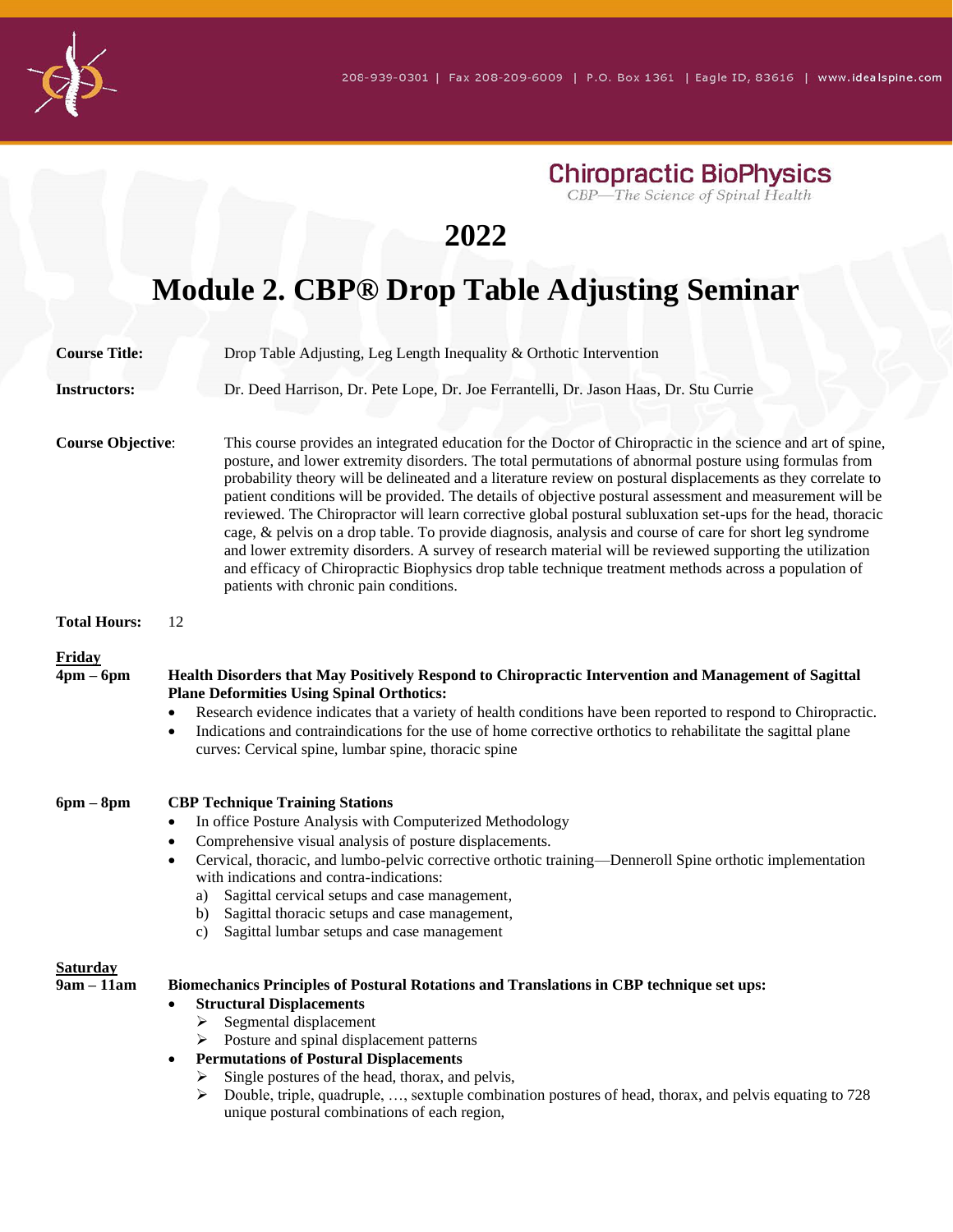**Chiropractic BioPhysics**<br>CBP—The Science of Spinal Health

# **2022**

# **Module 2. CBP® Drop Table Adjusting Seminar**

| <b>Course Title:</b>            | Drop Table Adjusting, Leg Length Inequality & Orthotic Intervention                                                                                                                                                                                                                                                                                                                                                                                                                                                                                                                                                                                                                                                                                                                                                                                                                                                                           |
|---------------------------------|-----------------------------------------------------------------------------------------------------------------------------------------------------------------------------------------------------------------------------------------------------------------------------------------------------------------------------------------------------------------------------------------------------------------------------------------------------------------------------------------------------------------------------------------------------------------------------------------------------------------------------------------------------------------------------------------------------------------------------------------------------------------------------------------------------------------------------------------------------------------------------------------------------------------------------------------------|
| <b>Instructors:</b>             | Dr. Deed Harrison, Dr. Pete Lope, Dr. Joe Ferrantelli, Dr. Jason Haas, Dr. Stu Currie                                                                                                                                                                                                                                                                                                                                                                                                                                                                                                                                                                                                                                                                                                                                                                                                                                                         |
| <b>Course Objective:</b>        | This course provides an integrated education for the Doctor of Chiropractic in the science and art of spine,<br>posture, and lower extremity disorders. The total permutations of abnormal posture using formulas from<br>probability theory will be delineated and a literature review on postural displacements as they correlate to<br>patient conditions will be provided. The details of objective postural assessment and measurement will be<br>reviewed. The Chiropractor will learn corrective global postural subluxation set-ups for the head, thoracic<br>cage, & pelvis on a drop table. To provide diagnosis, analysis and course of care for short leg syndrome<br>and lower extremity disorders. A survey of research material will be reviewed supporting the utilization<br>and efficacy of Chiropractic Biophysics drop table technique treatment methods across a population of<br>patients with chronic pain conditions. |
| <b>Total Hours:</b>             | 12                                                                                                                                                                                                                                                                                                                                                                                                                                                                                                                                                                                                                                                                                                                                                                                                                                                                                                                                            |
| Friday<br>$4pm-6pm$             | Health Disorders that May Positively Respond to Chiropractic Intervention and Management of Sagittal<br><b>Plane Deformities Using Spinal Orthotics:</b><br>Research evidence indicates that a variety of health conditions have been reported to respond to Chiropractic.<br>Indications and contraindications for the use of home corrective orthotics to rehabilitate the sagittal plane<br>$\bullet$<br>curves: Cervical spine, lumbar spine, thoracic spine                                                                                                                                                                                                                                                                                                                                                                                                                                                                              |
| $6pm - 8pm$                     | <b>CBP Technique Training Stations</b><br>In office Posture Analysis with Computerized Methodology<br>Comprehensive visual analysis of posture displacements.<br>Cervical, thoracic, and lumbo-pelvic corrective orthotic training—Denneroll Spine orthotic implementation<br>with indications and contra-indications:<br>Sagittal cervical setups and case management,<br>a)<br>b) Sagittal thoracic setups and case management,<br>Sagittal lumbar setups and case management<br>C)                                                                                                                                                                                                                                                                                                                                                                                                                                                         |
| <b>Saturday</b><br>$9am - 11am$ | Biomechanics Principles of Postural Rotations and Translations in CBP technique set ups:<br><b>Structural Displacements</b><br>$\bullet$<br>Segmental displacement<br>➤<br>> Posture and spinal displacement patterns<br><b>Permutations of Postural Displacements</b><br>$\bullet$<br>Single postures of the head, thorax, and pelvis,<br>≻<br>Double, triple, quadruple, , sextuple combination postures of head, thorax, and pelvis equating to 728<br>➤<br>unique postural combinations of each region,                                                                                                                                                                                                                                                                                                                                                                                                                                   |